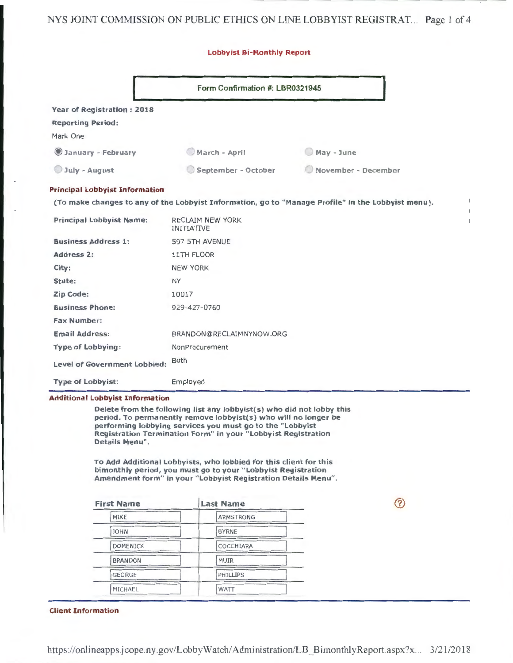## NYS JOINT COMMISSION ON PUBLIC ETHICS ON LINE LOBBYIST REGISTRAT... Page 1 of 4

#### Lobbyist Bi-Monthly Report

|                                       | Form Confirmation #: LBR0321945                                                                    |                     |  |  |
|---------------------------------------|----------------------------------------------------------------------------------------------------|---------------------|--|--|
| <b>Year of Registration: 2018</b>     |                                                                                                    |                     |  |  |
| <b>Reporting Period:</b>              |                                                                                                    |                     |  |  |
| Mark One                              |                                                                                                    |                     |  |  |
| January - February                    | March - April                                                                                      | May - June          |  |  |
| July - August                         | September - October                                                                                | November - December |  |  |
| <b>Principal Lobbyist Information</b> |                                                                                                    |                     |  |  |
|                                       | (To make changes to any of the Lobbyist Information, go to "Manage Profile" in the Lobbyist menu). |                     |  |  |
| <b>Principal Lobbyist Name:</b>       | RECLAIM NEW YORK<br><b>INITIATIVE</b>                                                              |                     |  |  |
| <b>Business Address 1:</b>            | 597 5TH AVENUE                                                                                     |                     |  |  |
| Address 2:                            | 11TH FLOOR                                                                                         |                     |  |  |
| City:                                 | <b>NEW YORK</b>                                                                                    |                     |  |  |
| State:                                | <b>NY</b>                                                                                          |                     |  |  |
| Zip Code:                             | 10017                                                                                              |                     |  |  |
| <b>Business Phone:</b>                | 929-427-0760                                                                                       |                     |  |  |
| <b>Fax Number:</b>                    |                                                                                                    |                     |  |  |
| <b>Email Address:</b>                 | BRANDON@RECLAIMNYNOW.ORG                                                                           |                     |  |  |
| <b>Type of Lobbying:</b>              | NonProcurement                                                                                     |                     |  |  |
| <b>Level of Government Lobbied:</b>   | Both                                                                                               |                     |  |  |
| <b>Type of Lobbyist:</b>              | Employed                                                                                           |                     |  |  |

 $\ddot{\phantom{1}}$ 

 $\circledR$ 

Delete from the following list any lobbyist(s) who did not lobby this period. To permanently remove lobbyist(s) who will no longer be performing lobbying services you must go to the "Lobbyist Registration Termination Form" in your "Lobbyist Registration Details Menu".

To Add Additional Lobbyists, who lobbied for this client for this bimonthly period, you must go to your "Lobbyist Registration Amendment form" in your "Lobbyist Registration Details Menu".

| <b>Last Name</b> |  |  |
|------------------|--|--|
| <b>ARMSTRONG</b> |  |  |
| <b>BYRNE</b>     |  |  |
| COCCHIARA        |  |  |
| <b>MUIR</b>      |  |  |
| PHILLIPS         |  |  |
| WATT             |  |  |
|                  |  |  |

Client Information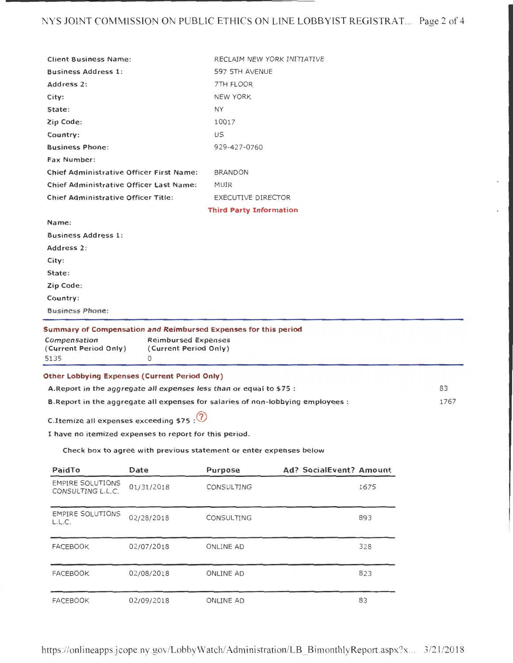## NYS JOINT COMMISSION ON PUBLIC ETHICS ON LINE LOBBYIST REGISTRAT. .. Page 2 of 4

| <b>Client Business Name:</b>                                                     |                                                                                                                 |                                |      |
|----------------------------------------------------------------------------------|-----------------------------------------------------------------------------------------------------------------|--------------------------------|------|
| <b>Business Address 1:</b>                                                       |                                                                                                                 | 597 5TH AVENUE                 |      |
| Address 2:                                                                       |                                                                                                                 | 7TH FLOOR                      |      |
| City:                                                                            |                                                                                                                 | <b>NEW YORK</b>                |      |
| State:                                                                           |                                                                                                                 | <b>NY</b>                      |      |
| Zip Code:                                                                        |                                                                                                                 | 10017                          |      |
| Country:                                                                         |                                                                                                                 | US                             |      |
| <b>Business Phone:</b>                                                           |                                                                                                                 | 929-427-0760                   |      |
| <b>Fax Number:</b>                                                               |                                                                                                                 |                                |      |
| Chief Administrative Officer First Name:                                         |                                                                                                                 | <b>BRANDON</b>                 |      |
| Chief Administrative Officer Last Name:                                          |                                                                                                                 | <b>MUIR</b>                    |      |
| <b>Chief Administrative Officer Title:</b>                                       |                                                                                                                 | <b>EXECUTIVE DIRECTOR</b>      |      |
|                                                                                  |                                                                                                                 | <b>Third Party Information</b> |      |
| Name:                                                                            |                                                                                                                 |                                |      |
| <b>Business Address 1:</b>                                                       |                                                                                                                 |                                |      |
| Address 2:                                                                       |                                                                                                                 |                                |      |
| City:                                                                            |                                                                                                                 |                                |      |
| State:                                                                           |                                                                                                                 |                                |      |
| Zip Code:                                                                        |                                                                                                                 |                                |      |
| Country:                                                                         |                                                                                                                 |                                |      |
| <b>Business Phone:</b>                                                           |                                                                                                                 |                                |      |
|                                                                                  |                                                                                                                 |                                |      |
| Compensation<br>(Current Period Only)                                            | Summary of Compensation and Reimbursed Expenses for this period<br>Reimbursed Expenses<br>(Current Period Only) |                                |      |
| 5135                                                                             | $\circ$                                                                                                         |                                |      |
| <b>Other Lobbying Expenses (Current Period Only)</b>                             |                                                                                                                 |                                |      |
| A.Report in the aggregate all expenses less than or equal to \$75.               |                                                                                                                 |                                | 83   |
| B. Report in the aggregate all expenses for salaries of non-lobbying employees : |                                                                                                                 |                                | 1767 |

C.Itemize all expenses exceeding  $$75$ :

I have no itemized expenses to report for this period.

Check box to agree with previous statement or enter expenses below

| PaidTo                                       | Date       | <b>Purpose</b>    | Ad? SocialEvent? Amount |      |
|----------------------------------------------|------------|-------------------|-------------------------|------|
| <b>EMPIRE SOLUTIONS</b><br>CONSULTING L.L.C. | 01/31/2018 | CONSULTING        |                         | 1675 |
| <b>EMPIRE SOLUTIONS</b><br>L.L.C.            | 02/28/2018 | <b>CONSULTING</b> |                         | 893  |
| <b>FACEBOOK</b>                              | 02/07/2018 | ONLINE AD         |                         | 328  |
| <b>FACEBOOK</b>                              | 02/08/2018 | <b>ONLINE AD</b>  |                         | 823  |
| <b>FACEBOOK</b>                              | 02/09/2018 | ONLINE AD         |                         | 83   |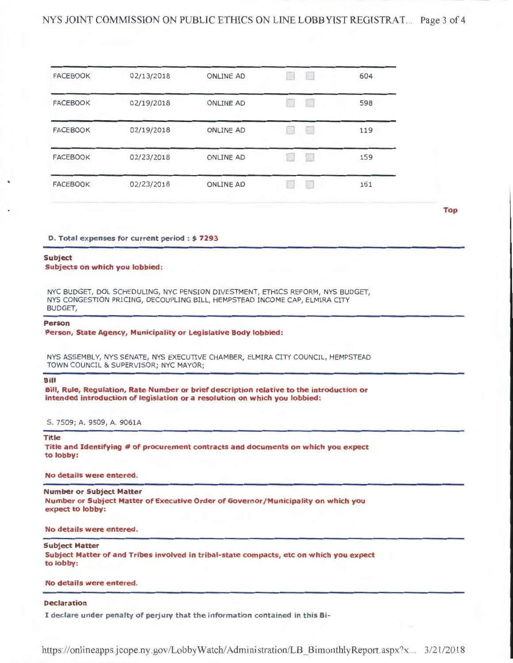### NYS JOINT COMMISSION ON PUBLIC ETHICS ON LINE LOBBYIST REGISTRAT... Page 3 of 4

| <b>FACEBOOK</b> | 02/13/2018 | <b>ONLINE AD</b> | 604 |
|-----------------|------------|------------------|-----|
| <b>FACEBOOK</b> | 02/19/2018 | <b>ONLINE AD</b> | 598 |
| <b>FACEBOOK</b> | 02/19/2018 | <b>ONLINE AD</b> | 119 |
| <b>FACEBOOK</b> | 02/23/2018 | <b>ONLINE AD</b> | 159 |
| <b>FACEBOOK</b> | 02/23/2018 | <b>ONLINE AD</b> | 161 |
|                 |            |                  |     |

Top

#### D. Total expenses for current period : \$ 7293

#### Subject

#### Subjects on which you lobbied:

NYC BUDGET, DOL SCHEDULING, NYC PENSION DIVESTMENT, ETHICS REFORM, NYS BUDGET, NYS CONGESTION PRICING, DECOUPLING BILL, HEMPSTEAD INCOME CAP, ELMIRA CITY BUDGET,

#### Person

Person, State Agency, Municipality or Legislative Body lobbied:

NYS ASSEMBLY, NYS SENATE, NYS EXECUTIVE CHAMBER, ELMIRA CITY COUNCIL, HEMPSTEAD TOWN COUNCIL & SUPERVISOR; NYC MAYOR;

#### Bill

Bill, Rule, Regulation, Rate Number or brief description relative to the introduction or intended introduction of legislation or a resolution on which you lobbied:

S. 7509; A. 9509, A. 9061A

#### Title

Title and Identifying # of procurement contracts and documents on which you expect to lobby:

#### No details were entered.

#### Number or Subject Matter

Number or Subject Matter of Executive Order of Governor /Municipality on which you expect to lobby:

#### No details were entered.

#### Subject Matter

Subject Matter of and Tribes involved in tribal-state compacts, etc on which you expect to lobby:

#### No details were entered.

#### Declaration

I declare under penalty of perjury that the information contained in this Bi-

https://onlineapps.jcope.ny.gov/LobbyWatch/ Administration/LB \_BimonthlyReport.aspx?x. .. 3/21/2018